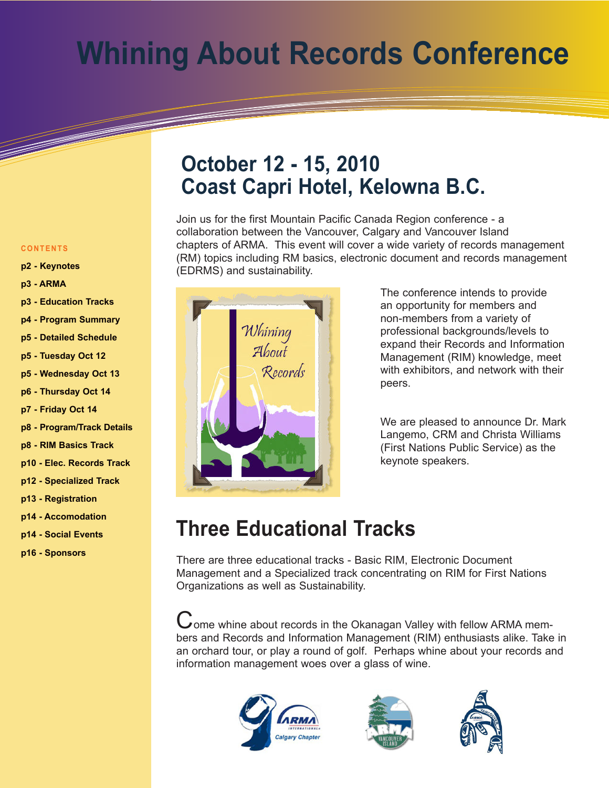## **Whining About Records Conference**

#### **October 12 - 15, 2010 Coast Capri Hotel, Kelowna B.C.**

Join us for the first Mountain Pacific Canada Region conference - a collaboration between the Vancouver, Calgary and Vancouver Island chapters of ARMA. This event will cover a wide variety of records management (RM) topics including RM basics, electronic document and records management (EDRMS) and sustainability.



The conference intends to provide an opportunity for members and non-members from a variety of professional backgrounds/levels to expand their Records and Information Management (RIM) knowledge, meet with exhibitors, and network with their peers.

We are pleased to announce Dr. Mark Langemo, CRM and Christa Williams (First Nations Public Service) as the keynote speakers.

#### **Three Educational Tracks**

There are three educational tracks - Basic RIM, Electronic Document Management and a Specialized track concentrating on RIM for First Nations Organizations as well as Sustainability.

Come whine about records in the Okanagan Valley with fellow ARMA members and Records and Information Management (RIM) enthusiasts alike. Take in an orchard tour, or play a round of golf. Perhaps whine about your records and information management woes over a glass of wine.







#### **C O N T E N T S**

- **[p2 Keynotes](#page-1-0)**
- **[p3 ARMA](#page-2-0)**
- **[p3 Education Tracks](#page-2-0)**
- **[p4 Program Summary](#page-3-0)**
- **[p5 Detailed Schedule](#page-4-0)**
- **[p5 Tuesday Oct 12](#page-4-0)**
- **[p5 Wednesday Oct 13](#page-4-0)**
- **[p6 Thursday Oct 14](#page-5-0)**
- **[p7 Friday Oct 14](#page-6-0)**
- **[p8 Program/Track Details](#page-7-0)**
- **[p8 RIM Basics Track](#page-7-0)**
- **[p10 Elec. Records Track](#page-9-0)**
- **[p12 Specialized Track](#page-11-0)**
- **[p13 Registration](#page-12-0)**
- **[p14 Accomodation](#page-13-0)**
- **[p14 Social Events](#page-13-0)**
- **[p16 Sponsors](#page-15-0)**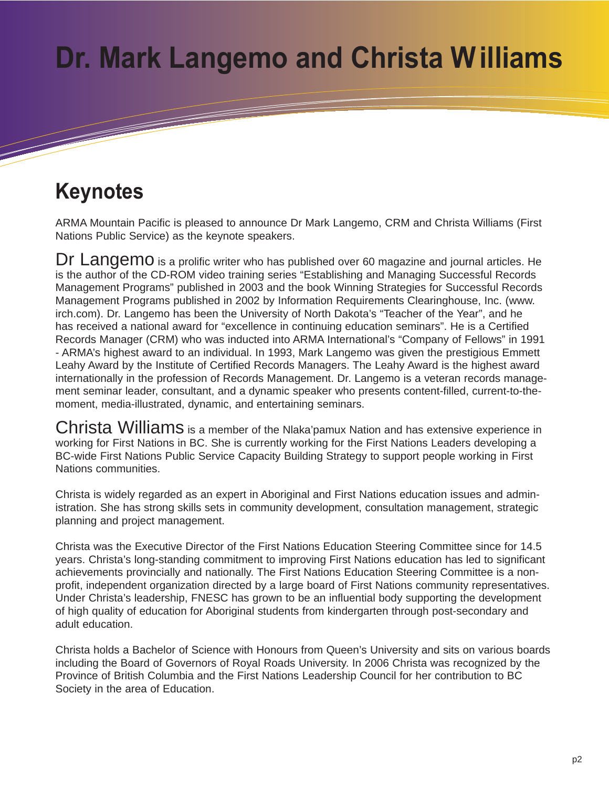## <span id="page-1-0"></span>**Dr. Mark Langemo and Christa Williams**

#### **Keynotes**

ARMA Mountain Pacific is pleased to announce Dr Mark Langemo, CRM and Christa Williams (First Nations Public Service) as the keynote speakers.

Dr Langemo is a prolific writer who has published over 60 magazine and journal articles. He is the author of the CD-ROM video training series "Establishing and Managing Successful Records Management Programs" published in 2003 and the book Winning Strategies for Successful Records Management Programs published in 2002 by Information Requirements Clearinghouse, Inc. (www. irch.com). Dr. Langemo has been the University of North Dakota's "Teacher of the Year", and he has received a national award for "excellence in continuing education seminars". He is a Certified Records Manager (CRM) who was inducted into ARMA International's "Company of Fellows" in 1991 - ARMA's highest award to an individual. In 1993, Mark Langemo was given the prestigious Emmett Leahy Award by the Institute of Certified Records Managers. The Leahy Award is the highest award internationally in the profession of Records Management. Dr. Langemo is a veteran records management seminar leader, consultant, and a dynamic speaker who presents content-filled, current-to-themoment, media-illustrated, dynamic, and entertaining seminars.

Christa Williams is a member of the Nlaka'pamux Nation and has extensive experience in working for First Nations in BC. She is currently working for the First Nations Leaders developing a BC-wide First Nations Public Service Capacity Building Strategy to support people working in First Nations communities.

Christa is widely regarded as an expert in Aboriginal and First Nations education issues and administration. She has strong skills sets in community development, consultation management, strategic planning and project management.

Christa was the Executive Director of the First Nations Education Steering Committee since for 14.5 years. Christa's long-standing commitment to improving First Nations education has led to significant achievements provincially and nationally. The First Nations Education Steering Committee is a nonprofit, independent organization directed by a large board of First Nations community representatives. Under Christa's leadership, FNESC has grown to be an influential body supporting the development of high quality of education for Aboriginal students from kindergarten through post-secondary and adult education.

Christa holds a Bachelor of Science with Honours from Queen's University and sits on various boards including the Board of Governors of Royal Roads University. In 2006 Christa was recognized by the Province of British Columbia and the First Nations Leadership Council for her contribution to BC Society in the area of Education.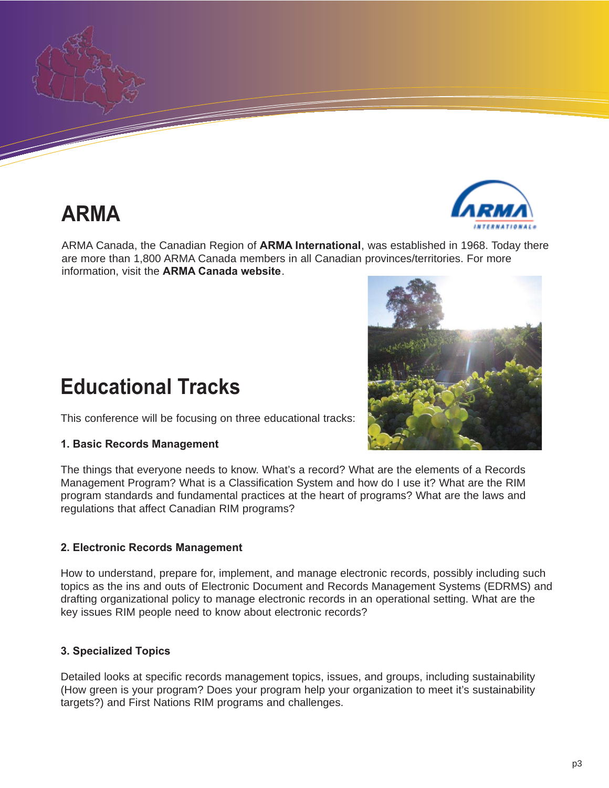<span id="page-2-0"></span>

### **ARMA**



ARMA Canada, the Canadian Region of **[ARMA International](http://www.arma.org)**, was established in 1968. Today there are more than 1,800 ARMA Canada members in all Canadian provinces/territories. For more information, visit the **[ARMA Canada website](http://www.armacanada.org)**.

#### **Educational Tracks**

This conference will be focusing on three educational tracks:

#### **1. Basic Records Management**

The things that everyone needs to know. What's a record? What are the elements of a Records Management Program? What is a Classification System and how do I use it? What are the RIM program standards and fundamental practices at the heart of programs? What are the laws and regulations that affect Canadian RIM programs?

#### **2. Electronic Records Management**

How to understand, prepare for, implement, and manage electronic records, possibly including such topics as the ins and outs of Electronic Document and Records Management Systems (EDRMS) and drafting organizational policy to manage electronic records in an operational setting. What are the key issues RIM people need to know about electronic records?

#### **3. Specialized Topics**

Detailed looks at specific records management topics, issues, and groups, including sustainability (How green is your program? Does your program help your organization to meet it's sustainability targets?) and First Nations RIM programs and challenges.

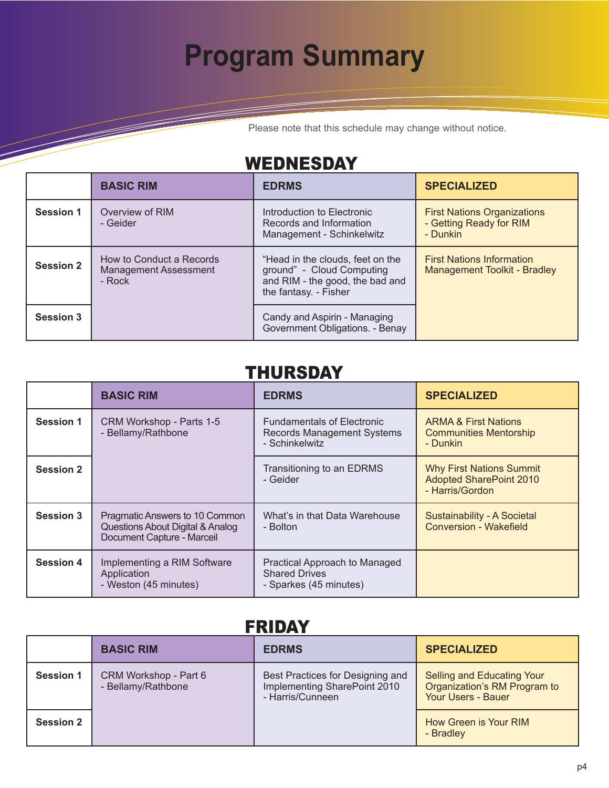## **Program Summary**

Please note that this schedule may change without notice.

#### WEDNESDAY

<span id="page-3-0"></span>and the second contract of the contract of the contract of the contract of the contract of the contract of the

|                  | <b>BASIC RIM</b>                                                    | <b>EDRMS</b>                                                                                                              | <b>SPECIALIZED</b>                                                        |
|------------------|---------------------------------------------------------------------|---------------------------------------------------------------------------------------------------------------------------|---------------------------------------------------------------------------|
| <b>Session 1</b> | Overview of RIM<br>- Geider                                         | Introduction to Electronic<br>Records and Information<br>Management - Schinkelwitz                                        | <b>First Nations Organizations</b><br>- Getting Ready for RIM<br>- Dunkin |
| <b>Session 2</b> | How to Conduct a Records<br><b>Management Assessment</b><br>$-Rock$ | "Head in the clouds, feet on the<br>ground" - Cloud Computing<br>and RIM - the good, the bad and<br>the fantasy. - Fisher | <b>First Nations Information</b><br><b>Management Toolkit - Bradley</b>   |
| <b>Session 3</b> |                                                                     | Candy and Aspirin - Managing<br>Government Obligations. - Benay                                                           |                                                                           |

#### THURSDAY

|                  | <b>BASIC RIM</b>                                                                                 | <b>EDRMS</b>                                                                             | <b>SPECIALIZED</b>                                                                   |
|------------------|--------------------------------------------------------------------------------------------------|------------------------------------------------------------------------------------------|--------------------------------------------------------------------------------------|
| <b>Session 1</b> | CRM Workshop - Parts 1-5<br>- Bellamy/Rathbone                                                   | <b>Fundamentals of Electronic</b><br><b>Records Management Systems</b><br>- Schinkelwitz | <b>ARMA &amp; First Nations</b><br><b>Communities Mentorship</b><br>- Dunkin         |
| <b>Session 2</b> |                                                                                                  | Transitioning to an EDRMS<br>- Geider                                                    | <b>Why First Nations Summit</b><br><b>Adopted SharePoint 2010</b><br>- Harris/Gordon |
| <b>Session 3</b> | Pragmatic Answers to 10 Common<br>Questions About Digital & Analog<br>Document Capture - Marceil | What's in that Data Warehouse<br>- Bolton                                                | Sustainability - A Societal<br><b>Conversion - Wakefield</b>                         |
| <b>Session 4</b> | Implementing a RIM Software<br>Application<br>- Weston (45 minutes)                              | Practical Approach to Managed<br><b>Shared Drives</b><br>- Sparkes (45 minutes)          |                                                                                      |

#### FRIDAY

|                  | <b>BASIC RIM</b>                            | <b>EDRMS</b>                                                                         | <b>SPECIALIZED</b>                                                                      |
|------------------|---------------------------------------------|--------------------------------------------------------------------------------------|-----------------------------------------------------------------------------------------|
| <b>Session 1</b> | CRM Workshop - Part 6<br>- Bellamy/Rathbone | Best Practices for Designing and<br>Implementing SharePoint 2010<br>- Harris/Cunneen | Selling and Educating Your<br>Organization's RM Program to<br><b>Your Users - Bauer</b> |
| <b>Session 2</b> |                                             |                                                                                      | How Green is Your RIM<br>- Bradley                                                      |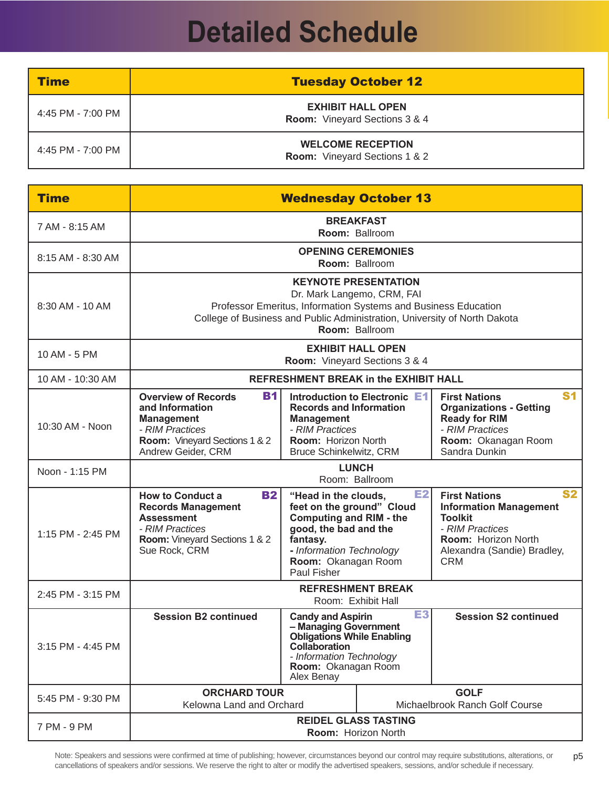## **Detailed Schedule**

<span id="page-4-0"></span>

| Time              | <b>Tuesday October 12</b>                                        |
|-------------------|------------------------------------------------------------------|
| 4:45 PM - 7:00 PM | <b>EXHIBIT HALL OPEN</b><br><b>Room:</b> Vineyard Sections 3 & 4 |
| 4:45 PM - 7:00 PM | <b>WELCOME RECEPTION</b><br><b>Room:</b> Vineyard Sections 1 & 2 |

| <b>Time</b>       |                                                                                                                                                             |                                                                                                                                                                                            | <b>Wednesday October 13</b>                                                                                                                   |                                                                                                                                                                             |
|-------------------|-------------------------------------------------------------------------------------------------------------------------------------------------------------|--------------------------------------------------------------------------------------------------------------------------------------------------------------------------------------------|-----------------------------------------------------------------------------------------------------------------------------------------------|-----------------------------------------------------------------------------------------------------------------------------------------------------------------------------|
| 7 AM - 8:15 AM    |                                                                                                                                                             |                                                                                                                                                                                            | <b>BREAKFAST</b><br>Room: Ballroom                                                                                                            |                                                                                                                                                                             |
| 8:15 AM - 8:30 AM |                                                                                                                                                             |                                                                                                                                                                                            | <b>OPENING CEREMONIES</b><br><b>Room: Ballroom</b>                                                                                            |                                                                                                                                                                             |
| 8:30 AM - 10 AM   | College of Business and Public Administration, University of North Dakota                                                                                   |                                                                                                                                                                                            | <b>KEYNOTE PRESENTATION</b><br>Dr. Mark Langemo, CRM, FAI<br>Professor Emeritus, Information Systems and Business Education<br>Room: Ballroom |                                                                                                                                                                             |
| 10 AM - 5 PM      |                                                                                                                                                             |                                                                                                                                                                                            | <b>EXHIBIT HALL OPEN</b><br>Room: Vineyard Sections 3 & 4                                                                                     |                                                                                                                                                                             |
| 10 AM - 10:30 AM  |                                                                                                                                                             |                                                                                                                                                                                            | <b>REFRESHMENT BREAK in the EXHIBIT HALL</b>                                                                                                  |                                                                                                                                                                             |
| 10:30 AM - Noon   | <b>B1</b><br><b>Overview of Records</b><br>and Information<br><b>Management</b><br>- RIM Practices<br>Room: Vineyard Sections 1 & 2<br>Andrew Geider, CRM   | <b>Records and Information</b><br><b>Management</b><br>- RIM Practices<br>Room: Horizon North<br>Bruce Schinkelwitz, CRM                                                                   | Introduction to Electronic E1                                                                                                                 | <b>S1</b><br><b>First Nations</b><br><b>Organizations - Getting</b><br><b>Ready for RIM</b><br>- RIM Practices<br>Room: Okanagan Room<br>Sandra Dunkin                      |
| Noon - 1:15 PM    |                                                                                                                                                             | <b>LUNCH</b>                                                                                                                                                                               | Room: Ballroom                                                                                                                                |                                                                                                                                                                             |
| 1:15 PM - 2:45 PM | <b>How to Conduct a</b><br><b>B2</b><br><b>Records Management</b><br><b>Assessment</b><br>- RIM Practices<br>Room: Vineyard Sections 1 & 2<br>Sue Rock, CRM | "Head in the clouds,<br>feet on the ground" Cloud<br><b>Computing and RIM - the</b><br>good, the bad and the<br>fantasy.<br>- Information Technology<br>Room: Okanagan Room<br>Paul Fisher | E2                                                                                                                                            | <b>S2</b><br><b>First Nations</b><br><b>Information Management</b><br><b>Toolkit</b><br>- RIM Practices<br>Room: Horizon North<br>Alexandra (Sandie) Bradley,<br><b>CRM</b> |
| 2:45 PM - 3:15 PM |                                                                                                                                                             |                                                                                                                                                                                            | <b>REFRESHMENT BREAK</b><br>Room: Exhibit Hall                                                                                                |                                                                                                                                                                             |
| 3:15 PM - 4:45 PM | <b>Session B2 continued</b>                                                                                                                                 | <b>Candy and Aspirin</b><br>- Managing Government<br><b>Obligations While Enabling</b><br>Collaboration<br>- Information Technology<br>Room: Okanagan Room<br>Alex Benay                   | E3                                                                                                                                            | <b>Session S2 continued</b>                                                                                                                                                 |
| 5:45 PM - 9:30 PM | <b>ORCHARD TOUR</b><br>Kelowna Land and Orchard                                                                                                             |                                                                                                                                                                                            |                                                                                                                                               | <b>GOLF</b><br>Michaelbrook Ranch Golf Course                                                                                                                               |
| 7 PM - 9 PM       |                                                                                                                                                             | <b>REIDEL GLASS TASTING</b>                                                                                                                                                                | <b>Room: Horizon North</b>                                                                                                                    |                                                                                                                                                                             |

Note: Speakers and sessions were confirmed at time of publishing; however, circumstances beyond our control may require substitutions, alterations, or cancellations of speakers and/or sessions. We reserve the right to alter or modify the advertised speakers, sessions, and/or schedule if necessary. p5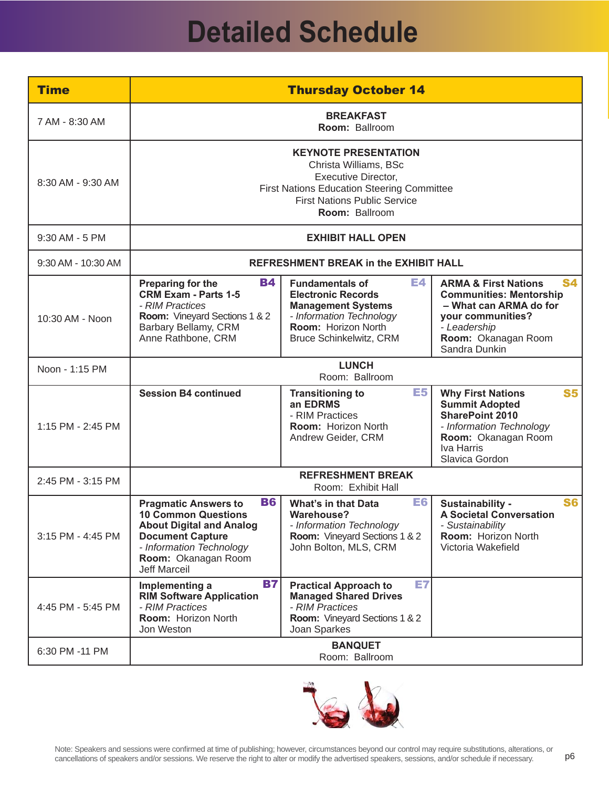## **Detailed Schedule**

<span id="page-5-0"></span>

| <b>Time</b>        |                                                                                                                                                                                                                | <b>Thursday October 14</b>                                                                                                                                                                       |                                                                                                                                                                                       |
|--------------------|----------------------------------------------------------------------------------------------------------------------------------------------------------------------------------------------------------------|--------------------------------------------------------------------------------------------------------------------------------------------------------------------------------------------------|---------------------------------------------------------------------------------------------------------------------------------------------------------------------------------------|
| 7 AM - 8:30 AM     |                                                                                                                                                                                                                | <b>BREAKFAST</b><br>Room: Ballroom                                                                                                                                                               |                                                                                                                                                                                       |
| 8:30 AM - 9:30 AM  |                                                                                                                                                                                                                | <b>KEYNOTE PRESENTATION</b><br>Christa Williams, BSc<br><b>Executive Director,</b><br><b>First Nations Education Steering Committee</b><br><b>First Nations Public Service</b><br>Room: Ballroom |                                                                                                                                                                                       |
| 9:30 AM - 5 PM     |                                                                                                                                                                                                                | <b>EXHIBIT HALL OPEN</b>                                                                                                                                                                         |                                                                                                                                                                                       |
| 9:30 AM - 10:30 AM |                                                                                                                                                                                                                | <b>REFRESHMENT BREAK in the EXHIBIT HALL</b>                                                                                                                                                     |                                                                                                                                                                                       |
| 10:30 AM - Noon    | <b>B4</b><br>Preparing for the<br><b>CRM Exam - Parts 1-5</b><br>- RIM Practices<br>Room: Vineyard Sections 1 & 2<br>Barbary Bellamy, CRM<br>Anne Rathbone, CRM                                                | E4<br><b>Fundamentals of</b><br><b>Electronic Records</b><br><b>Management Systems</b><br>- Information Technology<br>Room: Horizon North<br><b>Bruce Schinkelwitz, CRM</b>                      | <b>S4</b><br><b>ARMA &amp; First Nations</b><br><b>Communities: Mentorship</b><br>- What can ARMA do for<br>your communities?<br>- Leadership<br>Room: Okanagan Room<br>Sandra Dunkin |
| Noon - 1:15 PM     |                                                                                                                                                                                                                | <b>LUNCH</b><br>Room: Ballroom                                                                                                                                                                   |                                                                                                                                                                                       |
| 1:15 PM - 2:45 PM  | <b>Session B4 continued</b>                                                                                                                                                                                    | E <sub>5</sub><br><b>Transitioning to</b><br>an EDRMS<br>- RIM Practices<br>Room: Horizon North<br>Andrew Geider, CRM                                                                            | <b>S5</b><br><b>Why First Nations</b><br><b>Summit Adopted</b><br><b>SharePoint 2010</b><br>- Information Technology<br>Room: Okanagan Room<br>Iva Harris<br>Slavica Gordon           |
| 2:45 PM - 3:15 PM  |                                                                                                                                                                                                                | <b>REFRESHMENT BREAK</b><br>Room: Exhibit Hall                                                                                                                                                   |                                                                                                                                                                                       |
| 3:15 PM - 4:45 PM  | <b>B6</b><br><b>Pragmatic Answers to</b><br><b>10 Common Questions</b><br><b>About Digital and Analog</b><br><b>Document Capture</b><br>- Information Technology<br>Room: Okanagan Room<br><b>Jeff Marceil</b> | E6<br><b>What's in that Data</b><br>Warehouse?<br>- Information Technology<br><b>Room:</b> Vineyard Sections 1 & 2<br>John Bolton, MLS, CRM                                                      | <b>S6</b><br>Sustainability -<br><b>A Societal Conversation</b><br>- Sustainability<br><b>Room: Horizon North</b><br>Victoria Wakefield                                               |
| 4:45 PM - 5:45 PM  | <b>B7</b><br>Implementing a<br><b>RIM Software Application</b><br>- RIM Practices<br>Room: Horizon North<br>Jon Weston                                                                                         | E7<br><b>Practical Approach to</b><br><b>Managed Shared Drives</b><br>- RIM Practices<br>Room: Vineyard Sections 1 & 2<br>Joan Sparkes                                                           |                                                                                                                                                                                       |
| 6:30 PM -11 PM     |                                                                                                                                                                                                                | <b>BANQUET</b><br>Room: Ballroom                                                                                                                                                                 |                                                                                                                                                                                       |

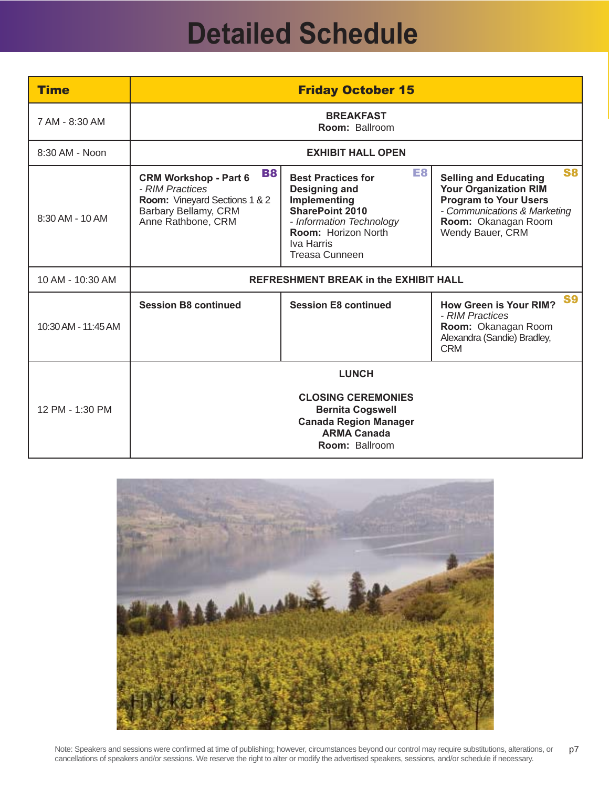## **Detailed Schedule**

<span id="page-6-0"></span>

| <b>Time</b>         |                                                                                                                                                    | <b>Friday October 15</b>                                                                                                                                                             |                                                                                                                                                                                      |
|---------------------|----------------------------------------------------------------------------------------------------------------------------------------------------|--------------------------------------------------------------------------------------------------------------------------------------------------------------------------------------|--------------------------------------------------------------------------------------------------------------------------------------------------------------------------------------|
| 7 AM - 8:30 AM      |                                                                                                                                                    | <b>BREAKFAST</b><br><b>Room: Ballroom</b>                                                                                                                                            |                                                                                                                                                                                      |
| 8:30 AM - Noon      |                                                                                                                                                    | <b>EXHIBIT HALL OPEN</b>                                                                                                                                                             |                                                                                                                                                                                      |
| 8:30 AM - 10 AM     | <b>B8</b><br><b>CRM Workshop - Part 6</b><br>- RIM Practices<br><b>Room:</b> Vineyard Sections 1 & 2<br>Barbary Bellamy, CRM<br>Anne Rathbone, CRM | <b>E8</b><br><b>Best Practices for</b><br>Designing and<br>Implementing<br><b>SharePoint 2010</b><br>- Information Technology<br>Room: Horizon North<br>Iva Harris<br>Treasa Cunneen | <b>S8</b><br><b>Selling and Educating</b><br><b>Your Organization RIM</b><br><b>Program to Your Users</b><br>- Communications & Marketing<br>Room: Okanagan Room<br>Wendy Bauer, CRM |
| 10 AM - 10:30 AM    |                                                                                                                                                    | <b>REFRESHMENT BREAK in the EXHIBIT HALL</b>                                                                                                                                         |                                                                                                                                                                                      |
| 10:30 AM - 11:45 AM | <b>Session B8 continued</b>                                                                                                                        | <b>Session E8 continued</b>                                                                                                                                                          | <b>S9</b><br><b>How Green is Your RIM?</b><br>- RIM Practices<br>Room: Okanagan Room<br>Alexandra (Sandie) Bradley,<br><b>CRM</b>                                                    |
|                     |                                                                                                                                                    | <b>LUNCH</b>                                                                                                                                                                         |                                                                                                                                                                                      |
| 12 PM - 1:30 PM     |                                                                                                                                                    | <b>CLOSING CEREMONIES</b><br><b>Bernita Cogswell</b><br><b>Canada Region Manager</b><br><b>ARMA Canada</b><br><b>Room: Ballroom</b>                                                  |                                                                                                                                                                                      |

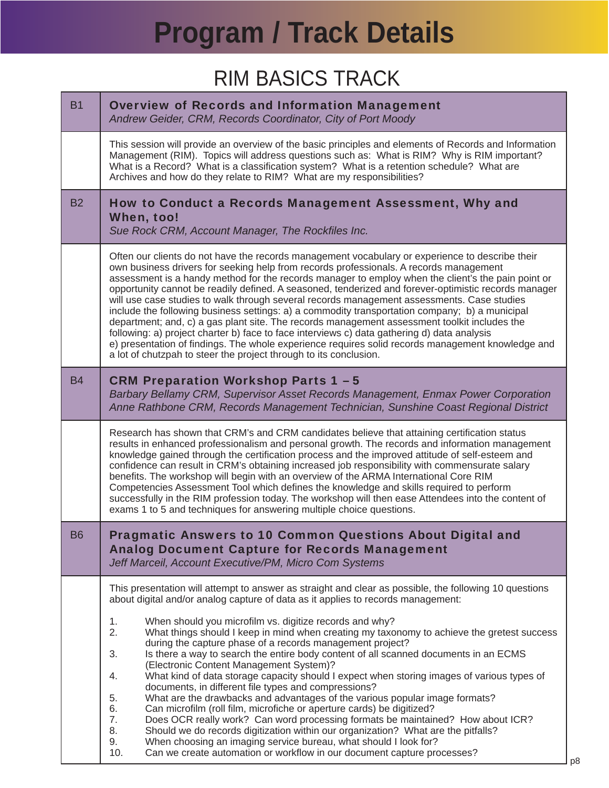### RIM BASICS TRACK

<span id="page-7-0"></span>

| <b>B1</b> | <b>Overview of Records and Information Management</b><br>Andrew Geider, CRM, Records Coordinator, City of Port Moody                                                                                                                                                                                                                                                                                                                                                                                                                                                                                                                                                                                                                                                                                                                                                                                                                                                                                                                                                                                                                                                                                                                                  |
|-----------|-------------------------------------------------------------------------------------------------------------------------------------------------------------------------------------------------------------------------------------------------------------------------------------------------------------------------------------------------------------------------------------------------------------------------------------------------------------------------------------------------------------------------------------------------------------------------------------------------------------------------------------------------------------------------------------------------------------------------------------------------------------------------------------------------------------------------------------------------------------------------------------------------------------------------------------------------------------------------------------------------------------------------------------------------------------------------------------------------------------------------------------------------------------------------------------------------------------------------------------------------------|
|           | This session will provide an overview of the basic principles and elements of Records and Information<br>Management (RIM). Topics will address questions such as: What is RIM? Why is RIM important?<br>What is a Record? What is a classification system? What is a retention schedule? What are<br>Archives and how do they relate to RIM? What are my responsibilities?                                                                                                                                                                                                                                                                                                                                                                                                                                                                                                                                                                                                                                                                                                                                                                                                                                                                            |
| <b>B2</b> | How to Conduct a Records Management Assessment, Why and<br>When, too!<br>Sue Rock CRM, Account Manager, The Rockfiles Inc.                                                                                                                                                                                                                                                                                                                                                                                                                                                                                                                                                                                                                                                                                                                                                                                                                                                                                                                                                                                                                                                                                                                            |
|           | Often our clients do not have the records management vocabulary or experience to describe their<br>own business drivers for seeking help from records professionals. A records management<br>assessment is a handy method for the records manager to employ when the client's the pain point or<br>opportunity cannot be readily defined. A seasoned, tenderized and forever-optimistic records manager<br>will use case studies to walk through several records management assessments. Case studies<br>include the following business settings: a) a commodity transportation company; b) a municipal<br>department; and, c) a gas plant site. The records management assessment toolkit includes the<br>following: a) project charter b) face to face interviews c) data gathering d) data analysis<br>e) presentation of findings. The whole experience requires solid records management knowledge and<br>a lot of chutzpah to steer the project through to its conclusion.                                                                                                                                                                                                                                                                      |
| <b>B4</b> | <b>CRM Preparation Workshop Parts 1 - 5</b><br>Barbary Bellamy CRM, Supervisor Asset Records Management, Enmax Power Corporation<br>Anne Rathbone CRM, Records Management Technician, Sunshine Coast Regional District                                                                                                                                                                                                                                                                                                                                                                                                                                                                                                                                                                                                                                                                                                                                                                                                                                                                                                                                                                                                                                |
|           | Research has shown that CRM's and CRM candidates believe that attaining certification status<br>results in enhanced professionalism and personal growth. The records and information management<br>knowledge gained through the certification process and the improved attitude of self-esteem and<br>confidence can result in CRM's obtaining increased job responsibility with commensurate salary<br>benefits. The workshop will begin with an overview of the ARMA International Core RIM<br>Competencies Assessment Tool which defines the knowledge and skills required to perform<br>successfully in the RIM profession today. The workshop will then ease Attendees into the content of<br>exams 1 to 5 and techniques for answering multiple choice questions.                                                                                                                                                                                                                                                                                                                                                                                                                                                                               |
| <b>B6</b> | <b>Pragmatic Answers to 10 Common Questions About Digital and</b><br><b>Analog Document Capture for Records Management</b><br>Jeff Marceil, Account Executive/PM, Micro Com Systems                                                                                                                                                                                                                                                                                                                                                                                                                                                                                                                                                                                                                                                                                                                                                                                                                                                                                                                                                                                                                                                                   |
|           | This presentation will attempt to answer as straight and clear as possible, the following 10 questions<br>about digital and/or analog capture of data as it applies to records management:<br>1.<br>When should you microfilm vs. digitize records and why?<br>2.<br>What things should I keep in mind when creating my taxonomy to achieve the gretest success<br>during the capture phase of a records management project?<br>3.<br>Is there a way to search the entire body content of all scanned documents in an ECMS<br>(Electronic Content Management System)?<br>What kind of data storage capacity should I expect when storing images of various types of<br>4.<br>documents, in different file types and compressions?<br>5.<br>What are the drawbacks and advantages of the various popular image formats?<br>Can microfilm (roll film, microfiche or aperture cards) be digitized?<br>6.<br>7.<br>Does OCR really work? Can word processing formats be maintained? How about ICR?<br>8.<br>Should we do records digitization within our organization? What are the pitfalls?<br>9.<br>When choosing an imaging service bureau, what should I look for?<br>10.<br>Can we create automation or workflow in our document capture processes? |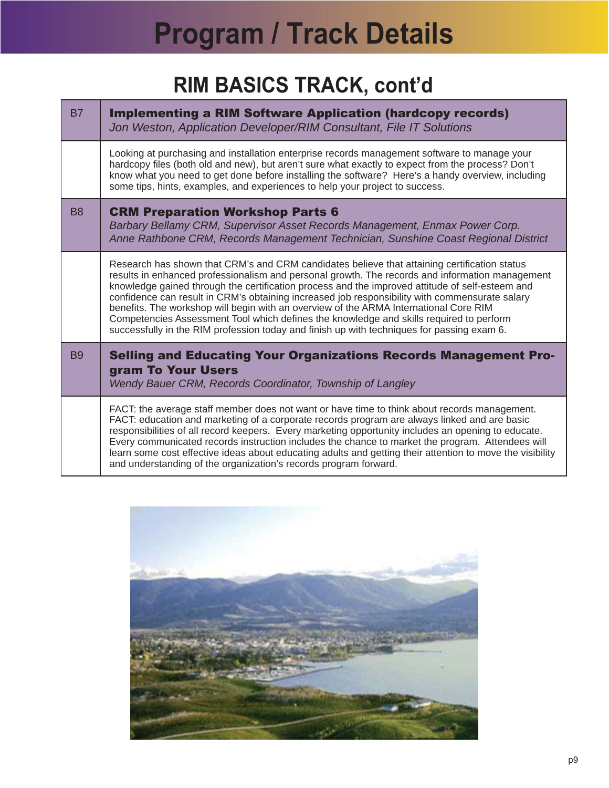### **RIM BASICS TRACK, cont'd**

| <b>B7</b>      | <b>Implementing a RIM Software Application (hardcopy records)</b><br>Jon Weston, Application Developer/RIM Consultant, File IT Solutions                                                                                                                                                                                                                                                                                                                                                                                                                                                                                                                                               |
|----------------|----------------------------------------------------------------------------------------------------------------------------------------------------------------------------------------------------------------------------------------------------------------------------------------------------------------------------------------------------------------------------------------------------------------------------------------------------------------------------------------------------------------------------------------------------------------------------------------------------------------------------------------------------------------------------------------|
|                | Looking at purchasing and installation enterprise records management software to manage your<br>hardcopy files (both old and new), but aren't sure what exactly to expect from the process? Don't<br>know what you need to get done before installing the software? Here's a handy overview, including<br>some tips, hints, examples, and experiences to help your project to success.                                                                                                                                                                                                                                                                                                 |
| B <sub>8</sub> | <b>CRM Preparation Workshop Parts 6</b><br>Barbary Bellamy CRM, Supervisor Asset Records Management, Enmax Power Corp.<br>Anne Rathbone CRM, Records Management Technician, Sunshine Coast Regional District                                                                                                                                                                                                                                                                                                                                                                                                                                                                           |
|                | Research has shown that CRM's and CRM candidates believe that attaining certification status<br>results in enhanced professionalism and personal growth. The records and information management<br>knowledge gained through the certification process and the improved attitude of self-esteem and<br>confidence can result in CRM's obtaining increased job responsibility with commensurate salary<br>benefits. The workshop will begin with an overview of the ARMA International Core RIM<br>Competencies Assessment Tool which defines the knowledge and skills required to perform<br>successfully in the RIM profession today and finish up with techniques for passing exam 6. |
| B <sub>9</sub> | <b>Selling and Educating Your Organizations Records Management Pro-</b><br>gram To Your Users<br>Wendy Bauer CRM, Records Coordinator, Township of Langley                                                                                                                                                                                                                                                                                                                                                                                                                                                                                                                             |
|                | FACT: the average staff member does not want or have time to think about records management.<br>FACT: education and marketing of a corporate records program are always linked and are basic<br>responsibilities of all record keepers. Every marketing opportunity includes an opening to educate.<br>Every communicated records instruction includes the chance to market the program. Attendees will<br>learn some cost effective ideas about educating adults and getting their attention to move the visibility<br>and understanding of the organization's records program forward.                                                                                               |

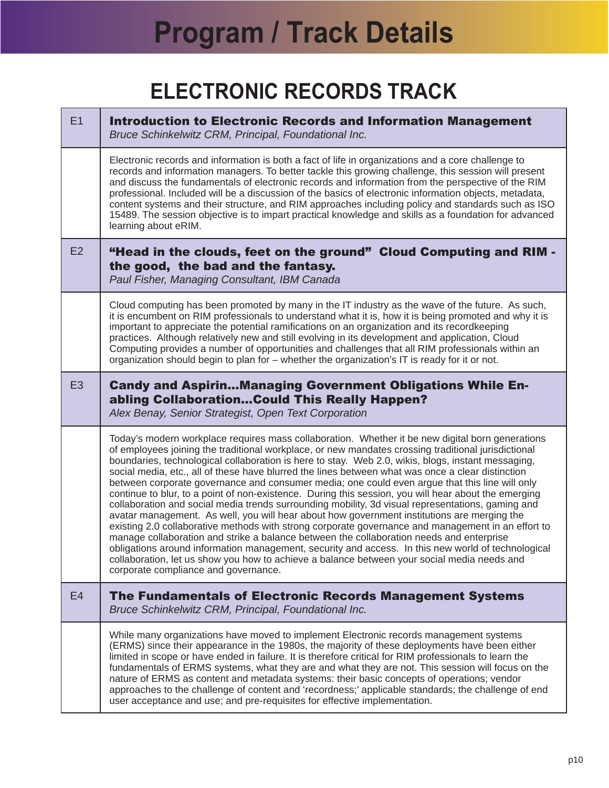### **ELECTRONIC RECORDS TRACK**

<span id="page-9-0"></span>

| E1             | <b>Introduction to Electronic Records and Information Management</b><br>Bruce Schinkelwitz CRM, Principal, Foundational Inc.                                                                                                                                                                                                                                                                                                                                                                                                                                                                                                                                                                                                                                                                                                                                                                                                                                                                                                                                                                                                                                                                                                                                                    |
|----------------|---------------------------------------------------------------------------------------------------------------------------------------------------------------------------------------------------------------------------------------------------------------------------------------------------------------------------------------------------------------------------------------------------------------------------------------------------------------------------------------------------------------------------------------------------------------------------------------------------------------------------------------------------------------------------------------------------------------------------------------------------------------------------------------------------------------------------------------------------------------------------------------------------------------------------------------------------------------------------------------------------------------------------------------------------------------------------------------------------------------------------------------------------------------------------------------------------------------------------------------------------------------------------------|
|                | Electronic records and information is both a fact of life in organizations and a core challenge to<br>records and information managers. To better tackle this growing challenge, this session will present<br>and discuss the fundamentals of electronic records and information from the perspective of the RIM<br>professional. Included will be a discussion of the basics of electronic information objects, metadata,<br>content systems and their structure, and RIM approaches including policy and standards such as ISO<br>15489. The session objective is to impart practical knowledge and skills as a foundation for advanced<br>learning about eRIM.                                                                                                                                                                                                                                                                                                                                                                                                                                                                                                                                                                                                               |
| E2             | "Head in the clouds, feet on the ground" Cloud Computing and RIM -<br>the good, the bad and the fantasy.<br>Paul Fisher, Managing Consultant, IBM Canada                                                                                                                                                                                                                                                                                                                                                                                                                                                                                                                                                                                                                                                                                                                                                                                                                                                                                                                                                                                                                                                                                                                        |
|                | Cloud computing has been promoted by many in the IT industry as the wave of the future. As such,<br>it is encumbent on RIM professionals to understand what it is, how it is being promoted and why it is<br>important to appreciate the potential ramifications on an organization and its recordkeeping<br>practices. Although relatively new and still evolving in its development and application, Cloud<br>Computing provides a number of opportunities and challenges that all RIM professionals within an<br>organization should begin to plan for - whether the organization's IT is ready for it or not.                                                                                                                                                                                                                                                                                                                                                                                                                                                                                                                                                                                                                                                               |
| E <sub>3</sub> | <b>Candy and AspirinManaging Government Obligations While En-</b><br>abling CollaborationCould This Really Happen?<br>Alex Benay, Senior Strategist, Open Text Corporation                                                                                                                                                                                                                                                                                                                                                                                                                                                                                                                                                                                                                                                                                                                                                                                                                                                                                                                                                                                                                                                                                                      |
|                | Today's modern workplace requires mass collaboration. Whether it be new digital born generations<br>of employees joining the traditional workplace, or new mandates crossing traditional jurisdictional<br>boundaries, technological collaboration is here to stay. Web 2.0, wikis, blogs, instant messaging,<br>social media, etc., all of these have blurred the lines between what was once a clear distinction<br>between corporate governance and consumer media; one could even argue that this line will only<br>continue to blur, to a point of non-existence. During this session, you will hear about the emerging<br>collaboration and social media trends surrounding mobility, 3d visual representations, gaming and<br>avatar management. As well, you will hear about how government institutions are merging the<br>existing 2.0 collaborative methods with strong corporate governance and management in an effort to<br>manage collaboration and strike a balance between the collaboration needs and enterprise<br>obligations around information management, security and access. In this new world of technological<br>collaboration, let us show you how to achieve a balance between your social media needs and<br>corporate compliance and governance. |
| E <sub>4</sub> | The Fundamentals of Electronic Records Management Systems<br>Bruce Schinkelwitz CRM, Principal, Foundational Inc.                                                                                                                                                                                                                                                                                                                                                                                                                                                                                                                                                                                                                                                                                                                                                                                                                                                                                                                                                                                                                                                                                                                                                               |
|                | While many organizations have moved to implement Electronic records management systems<br>(ERMS) since their appearance in the 1980s, the majority of these deployments have been either<br>limited in scope or have ended in failure. It is therefore critical for RIM professionals to learn the<br>fundamentals of ERMS systems, what they are and what they are not. This session will focus on the<br>nature of ERMS as content and metadata systems: their basic concepts of operations; vendor<br>approaches to the challenge of content and 'recordness;' applicable standards; the challenge of end<br>user acceptance and use; and pre-requisites for effective implementation.                                                                                                                                                                                                                                                                                                                                                                                                                                                                                                                                                                                       |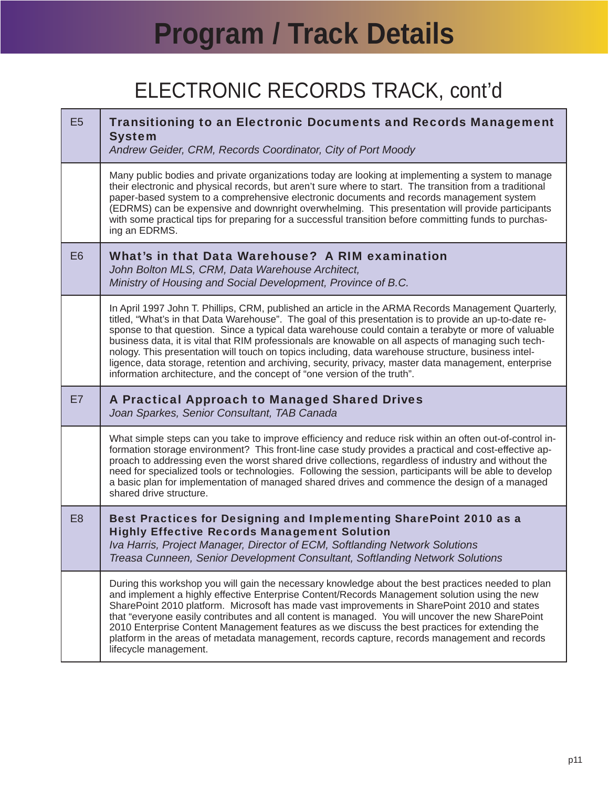## ELECTRONIC RECORDS TRACK, cont'd

| E <sub>5</sub> | <b>Transitioning to an Electronic Documents and Records Management</b><br><b>System</b><br>Andrew Geider, CRM, Records Coordinator, City of Port Moody                                                                                                                                                                                                                                                                                                                                                                                                                                                                                                                                                                    |
|----------------|---------------------------------------------------------------------------------------------------------------------------------------------------------------------------------------------------------------------------------------------------------------------------------------------------------------------------------------------------------------------------------------------------------------------------------------------------------------------------------------------------------------------------------------------------------------------------------------------------------------------------------------------------------------------------------------------------------------------------|
|                | Many public bodies and private organizations today are looking at implementing a system to manage<br>their electronic and physical records, but aren't sure where to start. The transition from a traditional<br>paper-based system to a comprehensive electronic documents and records management system<br>(EDRMS) can be expensive and downright overwhelming. This presentation will provide participants<br>with some practical tips for preparing for a successful transition before committing funds to purchas-<br>ing an EDRMS.                                                                                                                                                                                  |
| E <sub>6</sub> | What's in that Data Warehouse? A RIM examination<br>John Bolton MLS, CRM, Data Warehouse Architect,<br>Ministry of Housing and Social Development, Province of B.C.                                                                                                                                                                                                                                                                                                                                                                                                                                                                                                                                                       |
|                | In April 1997 John T. Phillips, CRM, published an article in the ARMA Records Management Quarterly,<br>titled, "What's in that Data Warehouse". The goal of this presentation is to provide an up-to-date re-<br>sponse to that question. Since a typical data warehouse could contain a terabyte or more of valuable<br>business data, it is vital that RIM professionals are knowable on all aspects of managing such tech-<br>nology. This presentation will touch on topics including, data warehouse structure, business intel-<br>ligence, data storage, retention and archiving, security, privacy, master data management, enterprise<br>information architecture, and the concept of "one version of the truth". |
|                |                                                                                                                                                                                                                                                                                                                                                                                                                                                                                                                                                                                                                                                                                                                           |
| E7             | A Practical Approach to Managed Shared Drives<br>Joan Sparkes, Senior Consultant, TAB Canada                                                                                                                                                                                                                                                                                                                                                                                                                                                                                                                                                                                                                              |
|                | What simple steps can you take to improve efficiency and reduce risk within an often out-of-control in-<br>formation storage environment? This front-line case study provides a practical and cost-effective ap-<br>proach to addressing even the worst shared drive collections, regardless of industry and without the<br>need for specialized tools or technologies. Following the session, participants will be able to develop<br>a basic plan for implementation of managed shared drives and commence the design of a managed<br>shared drive structure.                                                                                                                                                           |
| E <sub>8</sub> | Best Practices for Designing and Implementing SharePoint 2010 as a<br><b>Highly Effective Records Management Solution</b><br>Iva Harris, Project Manager, Director of ECM, Softlanding Network Solutions<br>Treasa Cunneen, Senior Development Consultant, Softlanding Network Solutions                                                                                                                                                                                                                                                                                                                                                                                                                                  |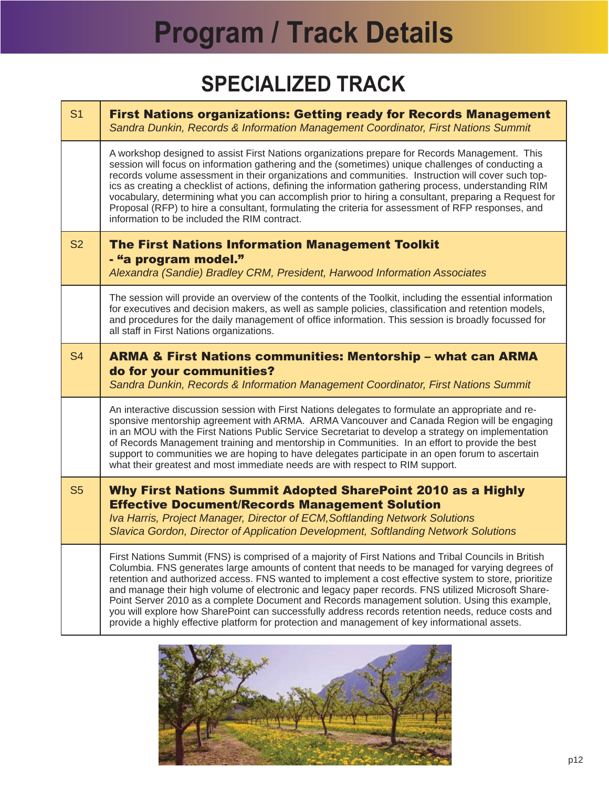## **SPECIALIZED TRACK**

<span id="page-11-0"></span>

| S <sub>1</sub> | <b>First Nations organizations: Getting ready for Records Management</b><br>Sandra Dunkin, Records & Information Management Coordinator, First Nations Summit                                                                                                                                                                                                                                                                                                                                                                                                                                                                                                                     |
|----------------|-----------------------------------------------------------------------------------------------------------------------------------------------------------------------------------------------------------------------------------------------------------------------------------------------------------------------------------------------------------------------------------------------------------------------------------------------------------------------------------------------------------------------------------------------------------------------------------------------------------------------------------------------------------------------------------|
|                | A workshop designed to assist First Nations organizations prepare for Records Management. This<br>session will focus on information gathering and the (sometimes) unique challenges of conducting a<br>records volume assessment in their organizations and communities. Instruction will cover such top-<br>ics as creating a checklist of actions, defining the information gathering process, understanding RIM<br>vocabulary, determining what you can accomplish prior to hiring a consultant, preparing a Request for<br>Proposal (RFP) to hire a consultant, formulating the criteria for assessment of RFP responses, and<br>information to be included the RIM contract. |
| <b>S2</b>      | <b>The First Nations Information Management Toolkit</b><br>- "a program model."<br>Alexandra (Sandie) Bradley CRM, President, Harwood Information Associates                                                                                                                                                                                                                                                                                                                                                                                                                                                                                                                      |
|                | The session will provide an overview of the contents of the Toolkit, including the essential information<br>for executives and decision makers, as well as sample policies, classification and retention models,<br>and procedures for the daily management of office information. This session is broadly focussed for<br>all staff in First Nations organizations.                                                                                                                                                                                                                                                                                                              |
| <b>S4</b>      | <b>ARMA &amp; First Nations communities: Mentorship - what can ARMA</b><br>do for your communities?                                                                                                                                                                                                                                                                                                                                                                                                                                                                                                                                                                               |
|                | Sandra Dunkin, Records & Information Management Coordinator, First Nations Summit                                                                                                                                                                                                                                                                                                                                                                                                                                                                                                                                                                                                 |
|                | An interactive discussion session with First Nations delegates to formulate an appropriate and re-<br>sponsive mentorship agreement with ARMA. ARMA Vancouver and Canada Region will be engaging<br>in an MOU with the First Nations Public Service Secretariat to develop a strategy on implementation<br>of Records Management training and mentorship in Communities. In an effort to provide the best<br>support to communities we are hoping to have delegates participate in an open forum to ascertain<br>what their greatest and most immediate needs are with respect to RIM support.                                                                                    |
| <b>S5</b>      | Why First Nations Summit Adopted SharePoint 2010 as a Highly<br><b>Effective Document/Records Management Solution</b><br>Iva Harris, Project Manager, Director of ECM, Softlanding Network Solutions<br>Slavica Gordon, Director of Application Development, Softlanding Network Solutions                                                                                                                                                                                                                                                                                                                                                                                        |

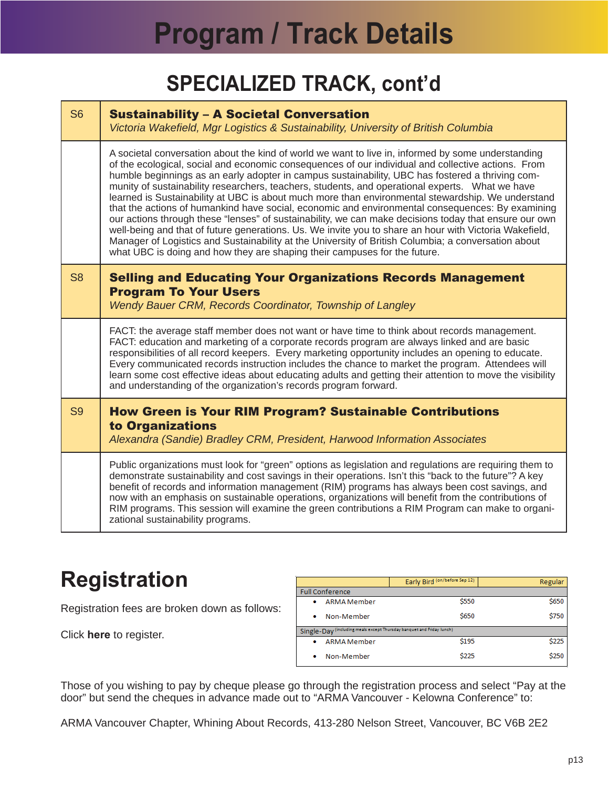### **SPECIALIZED TRACK, cont'd**

<span id="page-12-0"></span>

| S <sub>6</sub> | <b>Sustainability - A Societal Conversation</b><br>Victoria Wakefield, Mgr Logistics & Sustainability, University of British Columbia                                                                                                                                                                                                                                                                                                                                                                                                                                                                                                                                                                                                                                                                                                                                                                                                                                                                                            |  |  |
|----------------|----------------------------------------------------------------------------------------------------------------------------------------------------------------------------------------------------------------------------------------------------------------------------------------------------------------------------------------------------------------------------------------------------------------------------------------------------------------------------------------------------------------------------------------------------------------------------------------------------------------------------------------------------------------------------------------------------------------------------------------------------------------------------------------------------------------------------------------------------------------------------------------------------------------------------------------------------------------------------------------------------------------------------------|--|--|
|                | A societal conversation about the kind of world we want to live in, informed by some understanding<br>of the ecological, social and economic consequences of our individual and collective actions. From<br>humble beginnings as an early adopter in campus sustainability, UBC has fostered a thriving com-<br>munity of sustainability researchers, teachers, students, and operational experts.  What we have<br>learned is Sustainability at UBC is about much more than environmental stewardship. We understand<br>that the actions of humankind have social, economic and environmental consequences: By examining<br>our actions through these "lenses" of sustainability, we can make decisions today that ensure our own<br>well-being and that of future generations. Us. We invite you to share an hour with Victoria Wakefield,<br>Manager of Logistics and Sustainability at the University of British Columbia; a conversation about<br>what UBC is doing and how they are shaping their campuses for the future. |  |  |
| S <sub>8</sub> | <b>Selling and Educating Your Organizations Records Management</b><br><b>Program To Your Users</b><br>Wendy Bauer CRM, Records Coordinator, Township of Langley                                                                                                                                                                                                                                                                                                                                                                                                                                                                                                                                                                                                                                                                                                                                                                                                                                                                  |  |  |
|                | FACT: the average staff member does not want or have time to think about records management.<br>FACT: education and marketing of a corporate records program are always linked and are basic<br>responsibilities of all record keepers. Every marketing opportunity includes an opening to educate.<br>Every communicated records instruction includes the chance to market the program. Attendees will<br>learn some cost effective ideas about educating adults and getting their attention to move the visibility<br>and understanding of the organization's records program forward.                                                                                                                                                                                                                                                                                                                                                                                                                                         |  |  |
| S <sub>9</sub> | <b>How Green is Your RIM Program? Sustainable Contributions</b><br>to Organizations<br>Alexandra (Sandie) Bradley CRM, President, Harwood Information Associates                                                                                                                                                                                                                                                                                                                                                                                                                                                                                                                                                                                                                                                                                                                                                                                                                                                                 |  |  |
|                | Public organizations must look for "green" options as legislation and regulations are requiring them to<br>demonstrate sustainability and cost savings in their operations. Isn't this "back to the future"? A key<br>benefit of records and information management (RIM) programs has always been cost savings, and<br>now with an emphasis on sustainable operations, organizations will benefit from the contributions of<br>RIM programs. This session will examine the green contributions a RIM Program can make to organi-<br>zational sustainability programs.                                                                                                                                                                                                                                                                                                                                                                                                                                                           |  |  |

### **Registration**

Registration fees are broken down as follows:

Click **[here](http://www.gifttool.com/registrar/ShowEventDetails?ID=1939&EID=7169)** to register.

|                                                                       | Early Bird (on/before Sep 12) | <b>Regular</b> |  |  |
|-----------------------------------------------------------------------|-------------------------------|----------------|--|--|
| <b>Full Conference</b>                                                |                               |                |  |  |
| <b>ARMA</b> Member<br>۰                                               | \$550                         | \$650          |  |  |
| Non-Member<br>۰                                                       | \$650                         | \$750          |  |  |
| Single-Day (including meals except Thursday banquet and Friday lunch) |                               |                |  |  |
| <b>ARMA</b> Member<br>٠                                               | \$195                         | \$225          |  |  |
| Non-Member<br>۰                                                       | \$225                         | \$250          |  |  |

Those of you wishing to pay by cheque please go through the registration process and select "Pay at the door" but send the cheques in advance made out to "ARMA Vancouver - Kelowna Conference" to:

ARMA Vancouver Chapter, Whining About Records, 413-280 Nelson Street, Vancouver, BC V6B 2E2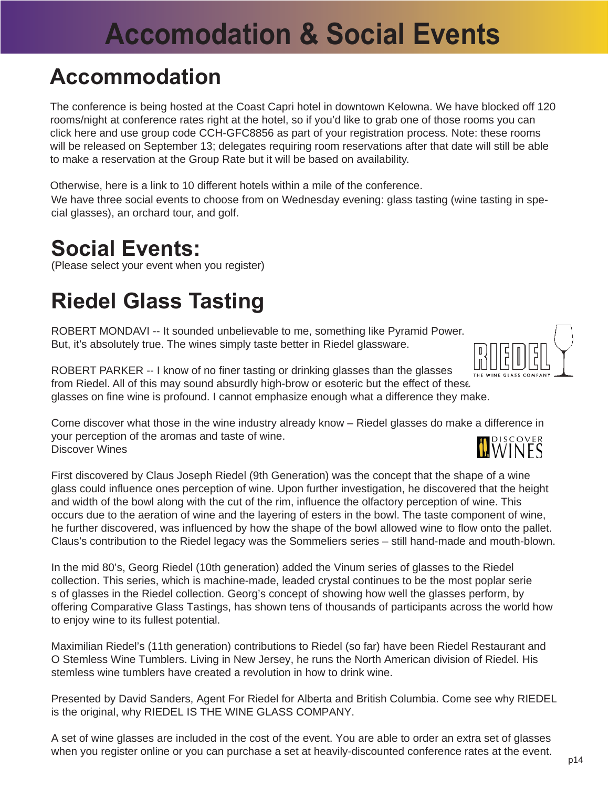## **Accomodation & Social Events**

#### <span id="page-13-0"></span>**Accommodation**

The conference is being hosted at the Coast Capri hotel in downtown Kelowna. We have blocked off 120 rooms/night at conference rates right at the hotel, so if you'd like to grab one of those rooms you can clic[k here a](http://www.coasthotels.com/hotels/canada/bc/kelowna/coast_capri/overview)nd use group code CCH-GFC8856 as part of your registration process. Note: these rooms will be released on September 13; delegates requiring room reservations after that date will still be able to make a reservation at the Group Rate but it will be based on availability.

We have three social events to choose from on Wednesday evening: glass tasting (wine tasting in special glasses), an orchard tour, and golf. Otherwise[, here is a link t](http://www.mapquest.com/maps?city=Kelowna&state=BC&address=1171+Harvey+Avenue&zipcode=V1Y&cat=Hotels&country=CA&latitude=49.88343&longitude=-119.474851&geocode=ADDRESS#b/maps/m:map:10:49.882782:-119.474116::::::1:1:::::::::/l::1171+Harvey+Avenue:Kelowna:BC:V1Y:CA:49.88343:-119.474851:address::1:Hotels::/io:1:::::f::::/so:Hotels:::d::25::::/bl:/e)o 10 different hotels within a mile of the conference.

#### **Social Events:**

(Please select your event when you register)

## **Riedel Glass Tasting**

ROBERT MONDAVI -- It sounded unbelievable to me, something like Pyramid Power. But, it's absolutely true. The wines simply taste better in Riedel glassware.



ROBERT PARKER -- I know of no finer tasting or drinking glasses than the glasses from Riedel. All of this may sound absurdly high-brow or esoteric but the effect of these glasses on fine wine is profound. I cannot emphasize enough what a difference they make.

Come discover what those in the wine industry already know – Riedel glasses do make a difference in your perception of the aromas and taste of wine. Discover Wines

First discovered by Claus Joseph Riedel (9th Generation) was the concept that the shape of a wine glass could influence ones perception of wine. Upon further investigation, he discovered that the height and width of the bowl along with the cut of the rim, influence the olfactory perception of wine. This occurs due to the aeration of wine and the layering of esters in the bowl. The taste component of wine, he further discovered, was influenced by how the shape of the bowl allowed wine to flow onto the pallet. Claus's contribution to the Riedel legacy was the Sommeliers series – still hand-made and mouth-blown.

In the mid 80's, Georg Riedel (10th generation) added the Vinum series of glasses to the Riedel collection. This series, which is machine-made, leaded crystal continues to be the most poplar serie s of glasses in the Riedel collection. Georg's concept of showing how well the glasses perform, by offering Comparative Glass Tastings, has shown tens of thousands of participants across the world how to enjoy wine to its fullest potential.

Maximilian Riedel's (11th generation) contributions to Riedel (so far) have been Riedel Restaurant and O Stemless Wine Tumblers. Living in New Jersey, he runs the North American division of Riedel. His stemless wine tumblers have created a revolution in how to drink wine.

Presented by David Sanders, Agent For Riedel for Alberta and British Columbia. Come see why RIEDEL is the original, why RIEDEL IS THE WINE GLASS COMPANY.

A set of wine glasses are included in the cost of the event. You are able to order an extra set of glasses when you register online or you can purchase a set at heavily-discounted conference rates at the event.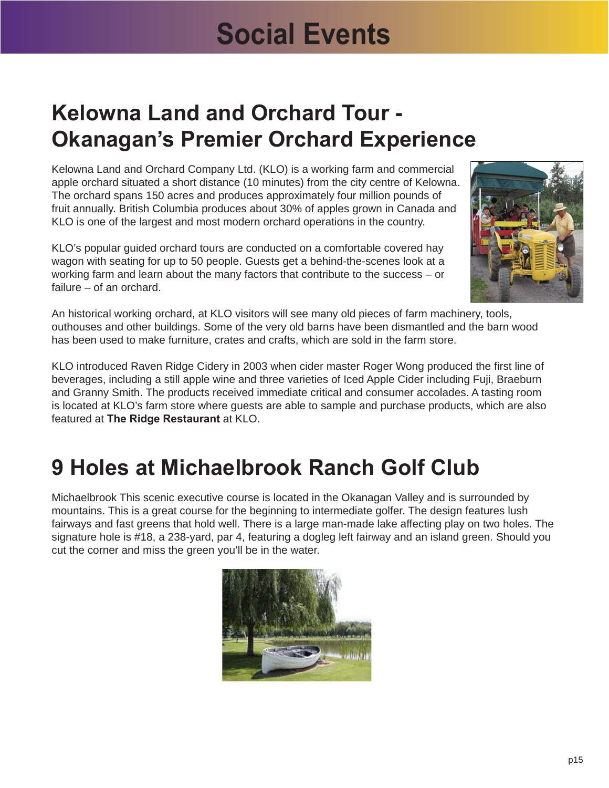## **Social Events**

### **Kelowna Land and Orchard Tour - Okanagan's Premier Orchard Experience**

Kelowna Land and Orchard Company Ltd. (KLO) is a working farm and commercial apple orchard situated a short distance (10 minutes) from the city centre of Kelowna. The orchard spans 150 acres and produces approximately four million pounds of fruit annually. British Columbia produces about 30% of apples grown in Canada and KLO is one of the largest and most modern orchard operations in the country.

KLO's popular guided orchard tours are conducted on a comfortable covered hay wagon with seating for up to 50 people. Guests get a behind-the-scenes look at a working farm and learn about the many factors that contribute to the success – or failure – of an orchard.



An historical working orchard, at KLO visitors will see many old pieces of farm machinery, tools, outhouses and other buildings. Some of the very old barns have been dismantled and the barn wood has been used to make furniture, crates and crafts, which are sold in the farm store.

KLO introduced Raven Ridge Cidery in 2003 when cider master Roger Wong produced the first line of beverages, including a still apple wine and three varieties of Iced Apple Cider including Fuji, Braeburn and Granny Smith. The products received immediate critical and consumer accolades. A tasting room is located at KLO's farm store where guests are able to sample and purchase products, which are also featured at **[The Ridge Restaurant](http://www.k-l-o.com/ridge/index.shtml)** at KLO.

#### **9 Holes at Michaelbrook Ranch Golf Club**

Michaelbrook This scenic executive course is located in the Okanagan Valley and is surrounded by mountains. This is a great course for the beginning to intermediate golfer. The design features lush fairways and fast greens that hold well. There is a large man-made lake affecting play on two holes. The signature hole is #18, a 238-yard, par 4, featuring a dogleg left fairway and an island green. Should you cut the corner and miss the green you'll be in the water.